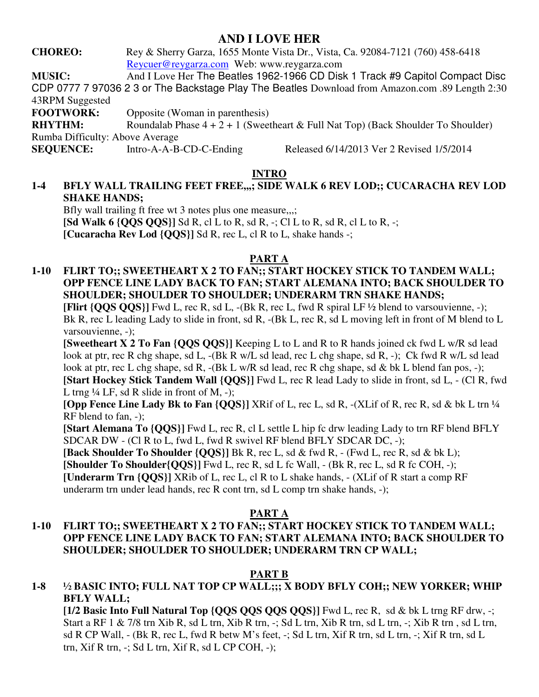# **AND I LOVE HER**

**CHOREO:** Rey & Sherry Garza, 1655 Monte Vista Dr., Vista, Ca. 92084-7121 (760) 458-6418 Reycuer@reygarza.com Web: www.reygarza.com

**MUSIC:** And I Love Her The Beatles 1962-1966 CD Disk 1 Track #9 Capitol Compact Disc CDP 0777 7 97036 2 3 or The Backstage Play The Beatles Download from Amazon.com .89 Length 2:30 43RPM Suggested

**FOOTWORK:** Opposite (Woman in parenthesis)

**RHYTHM:** Roundalab Phase  $4 + 2 + 1$  (Sweetheart & Full Nat Top) (Back Shoulder To Shoulder) Rumba Difficulty: Above Average

**SEQUENCE:** Intro-A-A-B-CD-C-Ending Released 6/14/2013 Ver 2 Revised 1/5/2014

# **INTRO**

## **1-4 BFLY WALL TRAILING FEET FREE,,,; SIDE WALK 6 REV LOD;; CUCARACHA REV LOD SHAKE HANDS;**

Bfly wall trailing ft free wt 3 notes plus one measure,..; **[Sd Walk 6**  $\{QQS QOS\}$ **]** Sd R, cl L to R, sd R, -; Cl L to R, sd R, cl L to R, -; **[Cucaracha Rev Lod {QQS}]** Sd R, rec L, cl R to L, shake hands -;

#### **PART A**

#### **1-10 FLIRT TO;; SWEETHEART X 2 TO FAN;; START HOCKEY STICK TO TANDEM WALL; OPP FENCE LINE LADY BACK TO FAN; START ALEMANA INTO; BACK SHOULDER TO SHOULDER; SHOULDER TO SHOULDER; UNDERARM TRN SHAKE HANDS;**

**[Flirt {QQS QQS}]** Fwd L, rec R, sd L, -(Bk R, rec L, fwd R spiral LF ½ blend to varsouvienne, -); Bk R, rec L leading Lady to slide in front, sd R, -(Bk L, rec R, sd L moving left in front of M blend to L varsouvienne, -);

**[Sweetheart X 2 To Fan {QQS QQS}]** Keeping L to L and R to R hands joined ck fwd L w/R sd lead look at ptr, rec R chg shape, sd L, -(Bk R w/L sd lead, rec L chg shape, sd R, -); Ck fwd R w/L sd lead look at ptr, rec L chg shape, sd R, -(Bk L w/R sd lead, rec R chg shape, sd & bk L blend fan pos, -); **[Start Hockey Stick Tandem Wall {QQS}]** Fwd L, rec R lead Lady to slide in front, sd L, - (Cl R, fwd L trng  $\frac{1}{4}$  LF, sd R slide in front of M, -);

**[Opp Fence Line Lady Bk to Fan {QQS}]** XRif of L, rec L, sd R, -(XLif of R, rec R, sd & bk L trn ¼ RF blend to fan, -);

**[Start Alemana To {QQS}]** Fwd L, rec R, cl L settle L hip fc drw leading Lady to trn RF blend BFLY SDCAR DW - (Cl R to L, fwd L, fwd R swivel RF blend BFLY SDCAR DC, -);

 **[Back Shoulder To Shoulder {QQS}]** Bk R, rec L, sd & fwd R, - (Fwd L, rec R, sd & bk L);  **[Shoulder To Shoulder{QQS}]** Fwd L, rec R, sd L fc Wall, - (Bk R, rec L, sd R fc COH, -); **[Underarm Trn {QQS}]** XRib of L, rec L, cl R to L shake hands, - (XLif of R start a comp RF underarm trn under lead hands, rec R cont trn, sd L comp trn shake hands, -);

#### **PART A**

## **1-10 FLIRT TO;; SWEETHEART X 2 TO FAN;; START HOCKEY STICK TO TANDEM WALL; OPP FENCE LINE LADY BACK TO FAN; START ALEMANA INTO; BACK SHOULDER TO SHOULDER; SHOULDER TO SHOULDER; UNDERARM TRN CP WALL;**

# **PART B**

# **1-8 ½ BASIC INTO; FULL NAT TOP CP WALL;;; X BODY BFLY COH;; NEW YORKER; WHIP BFLY WALL;**

**[1/2 Basic Into Full Natural Top {QQS QQS QQS QQS}]** Fwd L, rec R, sd & bk L trng RF drw, -; Start a RF 1 & 7/8 trn Xib R, sd L trn, Xib R trn, -; Sd L trn, Xib R trn, sd L trn, -; Xib R trn , sd L trn, sd R CP Wall, - (Bk R, rec L, fwd R betw M's feet, -; Sd L trn, Xif R trn, sd L trn, -; Xif R trn, sd L trn, Xif R trn, -; Sd L trn, Xif R, sd L CP COH, -);